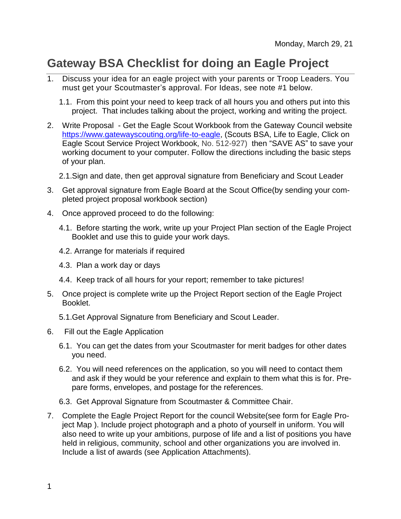## **Gateway BSA Checklist for doing an Eagle Project**

- 1. Discuss your idea for an eagle project with your parents or Troop Leaders. You must get your Scoutmaster's approval. For Ideas, see note #1 below.
	- 1.1. From this point your need to keep track of all hours you and others put into this project. That includes talking about the project, working and writing the project.
- 2. Write Proposal Get the Eagle Scout Workbook from the Gateway Council website https://www.gatewayscouting.org/life-to-eagle, (Scouts BSA, Life to Eagle, Click on Eagle Scout Service Project [Workbook,](https://www.gatewayscouting.org/files/23212/Eagle-Scout-Workbook) No. 512-927) then "SAVE AS" to save your working document to your computer. Follow the directions including the basic steps of your plan.
	- 2.1.Sign and date, then get approval signature from Beneficiary and Scout Leader
- 3. Get approval signature from Eagle Board at the Scout Office(by sending your completed project proposal workbook section)
- 4. Once approved proceed to do the following:
	- 4.1. Before starting the work, write up your Project Plan section of the Eagle Project Booklet and use this to guide your work days.
	- 4.2. Arrange for materials if required
	- 4.3. Plan a work day or days
	- 4.4. Keep track of all hours for your report; remember to take pictures!
- 5. Once project is complete write up the Project Report section of the Eagle Project Booklet.
	- 5.1.Get Approval Signature from Beneficiary and Scout Leader.
- 6. Fill out the Eagle Application
	- 6.1. You can get the dates from your Scoutmaster for merit badges for other dates you need.
	- 6.2. You will need references on the application, so you will need to contact them and ask if they would be your reference and explain to them what this is for. Prepare forms, envelopes, and postage for the references.
	- 6.3. Get Approval Signature from Scoutmaster & Committee Chair.
- 7. Complete the Eagle Project Report for the council Website(see form for Eagle Project Map ). Include project photograph and a photo of yourself in uniform. You will also need to write up your ambitions, purpose of life and a list of positions you have held in religious, community, school and other organizations you are involved in. Include a list of awards (see Application Attachments).